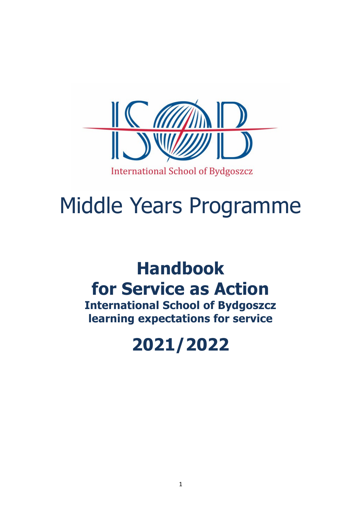

# Middle Years Programme

## **Handbook for Service as Action**

**International School of Bydgoszcz learning expectations for service**

**2021/2022**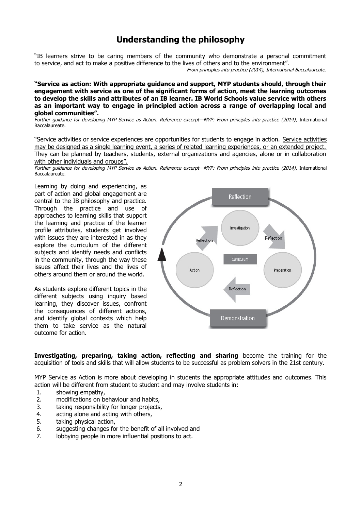## **Understanding the philosophy**

"IB learners strive to be caring members of the community who demonstrate a personal commitment to service, and act to make a positive difference to the lives of others and to the environment".

From principles into practice (2014), International Baccalaureate.

**"Service as action: With appropriate guidance and support, MYP students should, through their engagement with service as one of the significant forms of action, meet the learning outcomes to develop the skills and attributes of an IB learner. IB World Schools value service with others as an important way to engage in principled action across a range of overlapping local and global communities".**

Further guidance for developing MYP Service as Action. Reference excerpt—MYP: From principles into practice (2014), International Baccalaureate.

"Service activities or service experiences are opportunities for students to engage in action. Service activities may be designed as a single learning event, a series of related learning experiences, or an extended project. They can be planned by teachers, students, external organizations and agencies, alone or in collaboration with other individuals and groups".

Further guidance for developing MYP Service as Action. Reference excerpt—MYP: From principles into practice (2014), International Baccalaureate.

Learning by doing and experiencing, as part of action and global engagement are central to the IB philosophy and practice. Through the practice and use of approaches to learning skills that support the learning and practice of the learner profile attributes, students get involved with issues they are interested in as they explore the curriculum of the different subjects and identify needs and conflicts in the community, through the way these issues affect their lives and the lives of others around them or around the world.

As students explore different topics in the different subjects using inquiry based learning, they discover issues, confront the consequences of different actions, and identify global contexts which help them to take service as the natural outcome for action.



**Investigating, preparing, taking action, reflecting and sharing** become the training for the acquisition of tools and skills that will allow students to be successful as problem solvers in the 21st century.

MYP Service as Action is more about developing in students the appropriate attitudes and outcomes. This action will be different from student to student and may involve students in:

- 1. showing empathy,
- 2. modifications on behaviour and habits,
- 3. taking responsibility for longer projects,
- 4. acting alone and acting with others,
- 5. taking physical action,
- 6. suggesting changes for the benefit of all involved and
- 7. lobbying people in more influential positions to act.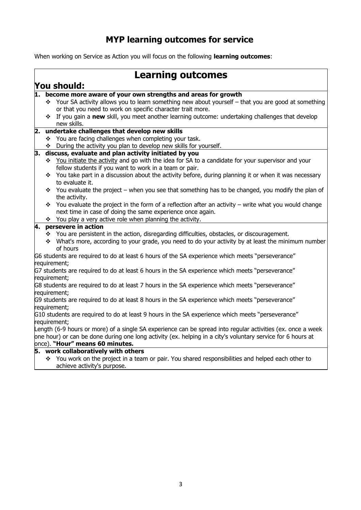## **MYP learning outcomes for service**

When working on Service as Action you will focus on the following **learning outcomes**:

#### **Learning outcomes You should: 1. become more aware of your own strengths and areas for growth** Your SA activity allows you to learn something new about yourself – that you are good at something or that you need to work on specific character trait more. If you gain a **new** skill, you meet another learning outcome: undertaking challenges that develop new skills. **2. undertake challenges that develop new skills**  \* You are facing challenges when completing your task. During the activity you plan to develop new skills for yourself. **3. discuss, evaluate and plan activity initiated by you**  $\cdot$  You initiate the activity and go with the idea for SA to a candidate for your supervisor and your fellow students if you want to work in a team or pair. \* You take part in a discussion about the activity before, during planning it or when it was necessary to evaluate it.  $\cdot \cdot$  You evaluate the project – when you see that something has to be changed, you modify the plan of the activity. You evaluate the project in the form of a reflection after an activity – write what you would change next time in case of doing the same experience once again.  $\div$  You play a very active role when planning the activity. **4. persevere in action**  \* You are persistent in the action, disregarding difficulties, obstacles, or discouragement. What's more, according to your grade, you need to do your activity by at least the minimum number of hours G6 students are required to do at least 6 hours of the SA experience which meets "perseverance" requirement; G7 students are required to do at least 6 hours in the SA experience which meets "perseverance" requirement; G8 students are required to do at least 7 hours in the SA experience which meets "perseverance" requirement; G9 students are required to do at least 8 hours in the SA experience which meets "perseverance" requirement; G10 students are required to do at least 9 hours in the SA experience which meets "perseverance" requirement; Length (6-9 hours or more) of a single SA experience can be spread into regular activities (ex. once a week one hour) or can be done during one long activity (ex. helping in a city's voluntary service for 6 hours at once). **"Hour" means 60 minutes. 5. work collaboratively with others** You work on the project in a team or pair. You shared responsibilities and helped each other to

achieve activity's purpose.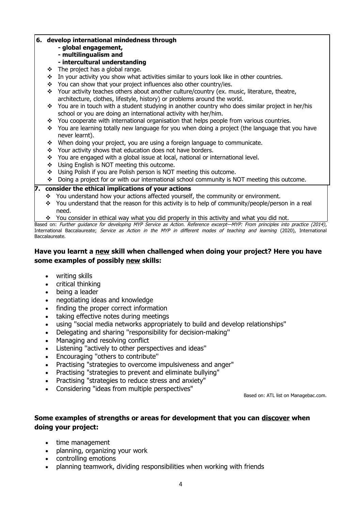#### **6. develop international mindedness through**

#### **- global engagement,**

**- multilingualism and** 

### **- intercultural understanding**

- $\div$  The project has a global range.
- In your activity you show what activities similar to yours look like in other countries.
- \* You can show that your project influences also other country/ies.
- Your activity teaches others about another culture/country (ex. music, literature, theatre, architecture, clothes, lifestyle, history) or problems around the world.
- You are in touch with a student studying in another country who does similar project in her/his school or you are doing an international activity with her/him.
- You cooperate with international organisation that helps people from various countries.
- \* You are learning totally new language for you when doing a project (the language that you have never learnt).
- When doing your project, you are using a foreign language to communicate.
- \* Your activity shows that education does not have borders.
- \* You are engaged with a global issue at local, national or international level.
- ❖ Using English is NOT meeting this outcome.
- Using Polish if you are Polish person is NOT meeting this outcome.
- Doing a project for or with our international school community is NOT meeting this outcome.

#### **7. consider the ethical implications of your actions**

- \* You understand how your actions affected yourself, the community or environment.
- You understand that the reason for this activity is to help of community/people/person in a real need.
- You consider in ethical way what you did properly in this activity and what you did not.

Based on: Further guidance for developing MYP Service as Action. Reference excerpt—MYP: From principles into practice (2014), International Baccalaureate; *Service as Action in the MYP in different modes of teaching and learning* (2020), International Baccalaureate.

#### **Have you learnt a new skill when challenged when doing your project? Here you have some examples of possibly new skills:**

- writing skills
- critical thinking
- being a leader
- negotiating ideas and knowledge
- finding the proper correct information
- taking effective notes during meetings
- using ''social media networks appropriately to build and develop relationships''
- Delegating and sharing ''responsibility for decision-making''
- Managing and resolving conflict
- Listening ''actively to other perspectives and ideas''
- Encouraging ''others to contribute''
- Practising "strategies to overcome impulsiveness and anger"
- Practising "strategies to prevent and eliminate bullying"
- Practising "strategies to reduce stress and anxiety"
- Considering "ideas from multiple perspectives"

Based on: ATL list on Managebac.com.

#### **Some examples of strengths or areas for development that you can discover when doing your project:**

- time management
- planning, organizing your work
- controlling emotions
- planning teamwork, dividing responsibilities when working with friends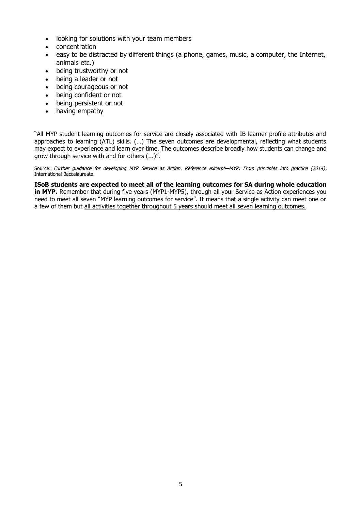- looking for solutions with your team members
- concentration
- easy to be distracted by different things (a phone, games, music, a computer, the Internet, animals etc.)
- being trustworthy or not
- being a leader or not
- being courageous or not
- being confident or not
- being persistent or not
- having empathy

"All MYP student learning outcomes for service are closely associated with IB learner profile attributes and approaches to learning (ATL) skills. (…) The seven outcomes are developmental, reflecting what students may expect to experience and learn over time. The outcomes describe broadly how students can change and grow through service with and for others (...)".

Source: Further quidance for developing MYP Service as Action. Reference excerpt—MYP: From principles into practice (2014), International Baccalaureate.

**ISoB students are expected to meet all of the learning outcomes for SA during whole education in MYP.** Remember that during five years (MYP1-MYP5), through all your Service as Action experiences you need to meet all seven "MYP learning outcomes for service". It means that a single activity can meet one or a few of them but all activities together throughout 5 years should meet all seven learning outcomes.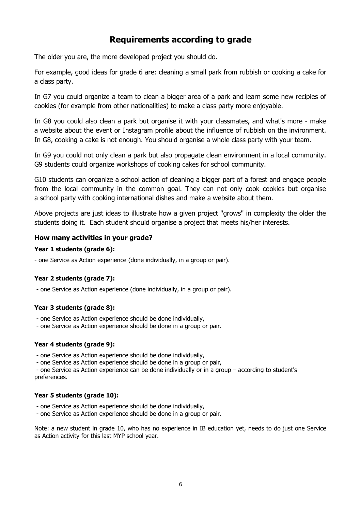## **Requirements according to grade**

The older you are, the more developed project you should do.

For example, good ideas for grade 6 are: cleaning a small park from rubbish or cooking a cake for a class party.

In G7 you could organize a team to clean a bigger area of a park and learn some new recipies of cookies (for example from other nationalities) to make a class party more enjoyable.

In G8 you could also clean a park but organise it with your classmates, and what's more - make a website about the event or Instagram profile about the influence of rubbish on the invironment. In G8, cooking a cake is not enough. You should organise a whole class party with your team.

In G9 you could not only clean a park but also propagate clean environment in a local community. G9 students could organize workshops of cooking cakes for school community.

G10 students can organize a school action of cleaning a bigger part of a forest and engage people from the local community in the common goal. They can not only cook cookies but organise a school party with cooking international dishes and make a website about them.

Above projects are just ideas to illustrate how a given project ''grows'' in complexity the older the students doing it. Each student should organise a project that meets his/her interests.

#### **How many activities in your grade?**

#### **Year 1 students (grade 6):**

- one Service as Action experience (done individually, in a group or pair).

#### **Year 2 students (grade 7):**

- one Service as Action experience (done individually, in a group or pair).

#### **Year 3 students (grade 8):**

- one Service as Action experience should be done individually,

- one Service as Action experience should be done in a group or pair.

#### **Year 4 students (grade 9):**

- one Service as Action experience should be done individually,

- one Service as Action experience should be done in a group or pair,

 - one Service as Action experience can be done individually or in a group – according to student's preferences.

#### **Year 5 students (grade 10):**

- one Service as Action experience should be done individually,

- one Service as Action experience should be done in a group or pair.

Note: a new student in grade 10, who has no experience in IB education yet, needs to do just one Service as Action activity for this last MYP school year.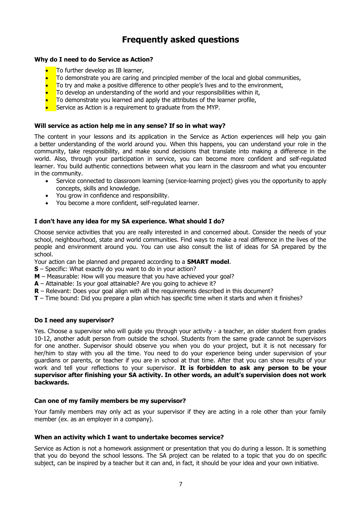## **Frequently asked questions**

#### **Why do I need to do Service as Action?**

- To further develop as IB learner,
- $\bullet$  To demonstrate you are caring and principled member of the local and global communities,
- $\bullet$  To try and make a positive difference to other people's lives and to the environment,
- $\blacksquare$  To develop an understanding of the world and your responsibilities within it,
- $\blacksquare$  To demonstrate you learned and apply the attributes of the learner profile,
- Service as Action is a requirement to graduate from the MYP.

#### **Will service as action help me in any sense? If so in what way?**

The content in your lessons and its application in the Service as Action experiences will help you gain a better understanding of the world around you. When this happens, you can understand your role in the community, take responsibility, and make sound decisions that translate into making a difference in the world. Also, through your participation in service, you can become more confident and self-regulated learner. You build authentic connections between what you learn in the classroom and what you encounter in the community.

- Service connected to classroom learning (service-learning project) gives you the opportunity to apply concepts, skills and knowledge.
- You grow in confidence and responsibility.
- You become a more confident, self-regulated learner.

#### **I don't have any idea for my SA experience. What should I do?**

Choose service activities that you are really interested in and concerned about. Consider the needs of your school, neighbourhood, state and world communities. Find ways to make a real difference in the lives of the people and environment around you. You can use also consult the list of ideas for SA prepared by the school.

Your action can be planned and prepared according to a **SMART model**.

- **S**  Specific: What exactly do you want to do in your action?
- **M** Measurable: How will you measure that you have achieved your goal?
- $A$  Attainable: Is your goal attainable? Are you going to achieve it?
- **R** Relevant: Does your goal align with all the requirements described in this document?
- **T** Time bound: Did you prepare a plan which has specific time when it starts and when it finishes?

#### **Do I need any supervisor?**

Yes. Choose a supervisor who will guide you through your activity - a teacher, an older student from grades 10-12, another adult person from outside the school. Students from the same grade cannot be supervisors for one another. Supervisor should observe you when you do your project, but it is not necessary for her/him to stay with you all the time. You need to do your experience being under supervision of your guardians or parents, or teacher if you are in school at that time. After that you can show results of your work and tell your reflections to your supervisor. **It is forbidden to ask any person to be your supervisor after finishing your SA activity. In other words, an adult's supervision does not work backwards.**

#### **Can one of my family members be my supervisor?**

Your family members may only act as your supervisor if they are acting in a role other than your family member (ex. as an employer in a company).

#### **When an activity which I want to undertake becomes service?**

Service as Action is not a homework assignment or presentation that you do during a lesson. It is something that you do beyond the school lessons. The SA project can be related to a topic that you do on specific subject, can be inspired by a teacher but it can and, in fact, it should be your idea and your own initiative.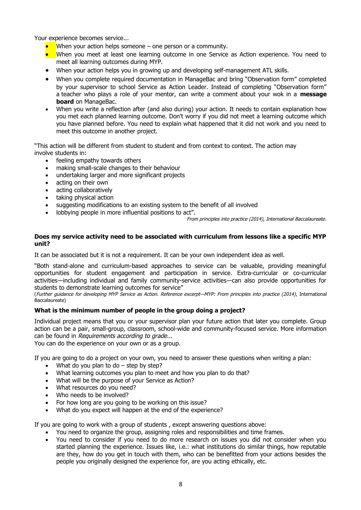Your experience becomes service...

- When your action helps someone  $-$  one person or a community.
- When you meet at least one learning outcome in one Service as Action experience. You need to meet all learning outcomes during MYP.
- When your action helps you in growing up and developing self-management ATL skills.
- When you complete required documentation in ManageBac and bring "Observation form" completed by your supervisor to school Service as Action Leader. Instead of completing "Observation form" a teacher who plays a role of your mentor, can write a comment about your wok in a **message board** on ManageBac.
- When you write a reflection after (and also during) your action. It needs to contain explanation how you met each planned learning outcome. Don't worry if you did not meet a learning outcome which you have planned before. You need to explain what happened that it did not work and you need to meet this outcome in another project.

"This action will be different from student to student and from context to context. The action may involve students in:

- feeling empathy towards others
- making small-scale changes to their behaviour
- undertaking larger and more significant projects
- acting on their own
- acting collaboratively
- taking physical action
- suggesting modifications to an existing system to the benefit of all involved
- lobbying people in more influential positions to act".

From principles into practice (2014), International Baccalaureate.

#### **Does my service activity need to be associated with curriculum from lessons like a specific MYP unit?**

It can be associated but it is not a requirement. It can be your own independent idea as well.

"Both stand-alone and curriculum-based approaches to service can be valuable, providing meaningful opportunities for student engagement and participation in service. Extra-curricular or co-curricular activities―including individual and family community-service activities―can also provide opportunities for students to demonstrate learning outcomes for service"

(Further guidance for developing MYP Service as Action. Reference excerpt—MYP: From principles into practice (2014), International Baccalaureate)

#### **What is the minimum number of people in the group doing a project?**

Individual project means that you or your supervisor plan your future action that later you complete. Group action can be a pair, small-group, classroom, school-wide and community-focused service. More information can be found in Requirements according to grade...

You can do the experience on your own or as a group.

If you are going to do a project on your own, you need to answer these questions when writing a plan:

- What do you plan to do  $-$  step by step?
- What learning outcomes you plan to meet and how you plan to do that?
- What will be the purpose of your Service as Action?
- What resources do you need?
- Who needs to be involved?
- For how long are you going to be working on this issue?
- What do you expect will happen at the end of the experience?

If you are going to work with a group of students , except answering questions above:

- You need to organize the group, assigning roles and responsibilities and time frames.
- You need to consider if you need to do more research on issues you did not consider when you started planning the experience. Issues like, i.e.: what institutions do similar things, how reputable are they, how do you get in touch with them, who can be benefitted from your actions besides the people you originally designed the experience for, are you acting ethically, etc.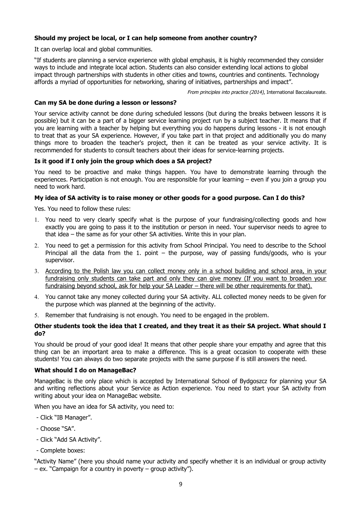#### **Should my project be local, or I can help someone from another country?**

It can overlap local and global communities.

"If students are planning a service experience with global emphasis, it is highly recommended they consider ways to include and integrate local action. Students can also consider extending local actions to global impact through partnerships with students in other cities and towns, countries and continents. Technology affords a myriad of opportunities for networking, sharing of initiatives, partnerships and impact".

From principles into practice (2014), International Baccalaureate.

#### **Can my SA be done during a lesson or lessons?**

Your service activity cannot be done during scheduled lessons (but during the breaks between lessons it is possible) but it can be a part of a bigger service learning project run by a subject teacher. It means that if you are learning with a teacher by helping but everything you do happens during lessons - it is not enough to treat that as your SA experience. However, if you take part in that project and additionally you do many things more to broaden the teacher's project, then it can be treated as your service activity. It is recommended for students to consult teachers about their ideas for service-learning projects.

#### **Is it good if I only join the group which does a SA project?**

You need to be proactive and make things happen. You have to demonstrate learning through the experiences. Participation is not enough. You are responsible for your learning – even if you join a group you need to work hard.

#### **My idea of SA activity is to raise money or other goods for a good purpose. Can I do this?**

Yes. You need to follow these rules:

- 1. You need to very clearly specify what is the purpose of your fundraising/collecting goods and how exactly you are going to pass it to the institution or person in need. Your supervisor needs to agree to that idea – the same as for your other SA activities. Write this in your plan.
- 2. You need to get a permission for this activity from School Principal. You need to describe to the School Principal all the data from the 1. point – the purpose, way of passing funds/goods, who is your supervisor.
- 3. According to the Polish law you can collect money only in a school building and school area, in your fundraising only students can take part and only they can give money (If you want to broaden your fundraising beyond school, ask for help your SA Leader – there will be other requirements for that).
- 4. You cannot take any money collected during your SA activity. ALL collected money needs to be given for the purpose which was planned at the beginning of the activity.
- 5. Remember that fundraising is not enough. You need to be engaged in the problem.

#### **Other students took the idea that I created, and they treat it as their SA project. What should I do?**

You should be proud of your good idea! It means that other people share your empathy and agree that this thing can be an important area to make a difference. This is a great occasion to cooperate with these students! You can always do two separate projects with the same purpose if is still answers the need.

#### **What should I do on ManageBac?**

ManageBac is the only place which is accepted by International School of Bydgoszcz for planning your SA and writing reflections about your Service as Action experience. You need to start your SA activity from writing about your idea on ManageBac website.

When you have an idea for SA activity, you need to:

- Click "IB Manager".
- Choose "SA".
- Click "Add SA Activity".
- Complete boxes:

"Activity Name" (here you should name your activity and specify whether it is an individual or group activity – ex. "Campaign for a country in poverty – group activity").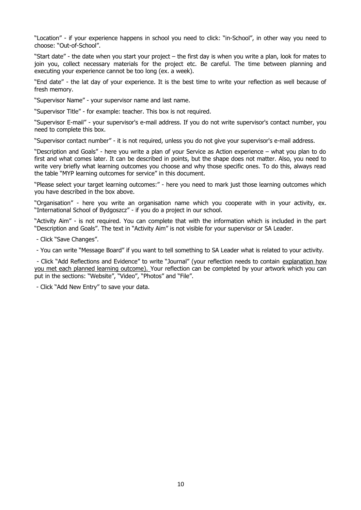"Location" - if your experience happens in school you need to click: "in-School", in other way you need to choose: "Out-of-School".

"Start date" - the date when you start your project – the first day is when you write a plan, look for mates to join you, collect necessary materials for the project etc. Be careful. The time between planning and executing your experience cannot be too long (ex. a week).

"End date" - the lat day of your experience. It is the best time to write your reflection as well because of fresh memory.

"Supervisor Name" - your supervisor name and last name.

"Supervisor Title" - for example: teacher. This box is not required.

"Supervisor E-mail" - your supervisor's e-mail address. If you do not write supervisor's contact number, you need to complete this box.

"Supervisor contact number" - it is not required, unless you do not give your supervisor's e-mail address.

"Description and Goals" - here you write a plan of your Service as Action experience – what you plan to do first and what comes later. It can be described in points, but the shape does not matter. Also, you need to write very briefly what learning outcomes you choose and why those specific ones. To do this, always read the table "MYP learning outcomes for service" in this document.

"Please select your target learning outcomes:" - here you need to mark just those learning outcomes which you have described in the box above.

"Organisation" - here you write an organisation name which you cooperate with in your activity, ex. "International School of Bydgoszcz" - if you do a project in our school.

"Activity Aim" - is not required. You can complete that with the information which is included in the part "Description and Goals". The text in "Activity Aim" is not visible for your supervisor or SA Leader.

- Click "Save Changes".

- You can write "Message Board" if you want to tell something to SA Leader what is related to your activity.

 - Click "Add Reflections and Evidence" to write "Journal" (your reflection needs to contain explanation how you met each planned learning outcome). Your reflection can be completed by your artwork which you can put in the sections: "Website", "Video", "Photos" and "File".

- Click "Add New Entry" to save your data.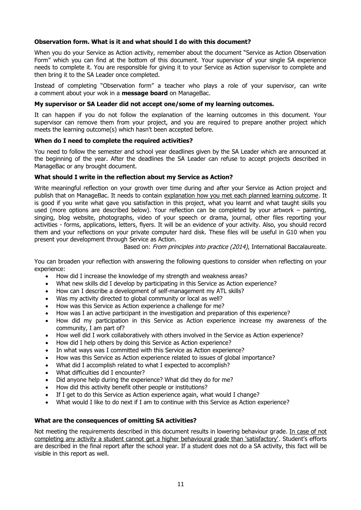#### **Observation form. What is it and what should I do with this document?**

When you do your Service as Action activity, remember about the document "Service as Action Observation Form" which you can find at the bottom of this document. Your supervisor of your single SA experience needs to complete it. You are responsible for giving it to your Service as Action supervisor to complete and then bring it to the SA Leader once completed.

Instead of completing "Observation form" a teacher who plays a role of your supervisor, can write a comment about your wok in a **message board** on ManageBac.

#### **My supervisor or SA Leader did not accept one/some of my learning outcomes.**

It can happen if you do not follow the explanation of the learning outcomes in this document. Your supervisor can remove them from your project, and you are required to prepare another project which meets the learning outcome(s) which hasn't been accepted before.

#### **When do I need to complete the required activities?**

You need to follow the semester and school year deadlines given by the SA Leader which are announced at the beginning of the year. After the deadlines the SA Leader can refuse to accept projects described in ManageBac or any brought document.

#### **What should I write in the reflection about my Service as Action?**

Write meaningful reflection on your growth over time during and after your Service as Action project and publish that on ManageBac. It needs to contain explanation how you met each planned learning outcome. It is good if you write what gave you satisfaction in this project, what you learnt and what taught skills you used (more options are described below). Your reflection can be completed by your artwork – painting, singing, blog website, photographs, video of your speech or drama, journal, other files reporting your activities - forms, applications, letters, flyers. It will be an evidence of your activity. Also, you should record them and your reflections on your private computer hard disk. These files will be useful in G10 when you present your development through Service as Action.

Based on: From principles into practice (2014), International Baccalaureate.

You can broaden your reflection with answering the following questions to consider when reflecting on your experience:

- How did I increase the knowledge of my strength and weakness areas?
- What new skills did I develop by participating in this Service as Action experience?
- How can I describe a development of self-management my ATL skills?
- Was my activity directed to global community or local as well?
- How was this Service as Action experience a challenge for me?
- How was I an active participant in the investigation and preparation of this experience?
- How did my participation in this Service as Action experience increase my awareness of the community, I am part of?
- How well did I work collaboratively with others involved in the Service as Action experience?
- How did I help others by doing this Service as Action experience?
- In what ways was I committed with this Service as Action experience?
- How was this Service as Action experience related to issues of global importance?
- What did I accomplish related to what I expected to accomplish?
- What difficulties did I encounter?
- Did anyone help during the experience? What did they do for me?
- How did this activity benefit other people or institutions?
- If I get to do this Service as Action experience again, what would I change?
- What would I like to do next if I am to continue with this Service as Action experience?

#### **What are the consequences of omitting SA activities?**

Not meeting the requirements described in this document results in lowering behaviour grade. In case of not completing any activity a student cannot get a higher behavioural grade than 'satisfactory'. Student's efforts are described in the final report after the school year. If a student does not do a SA activity, this fact will be visible in this report as well.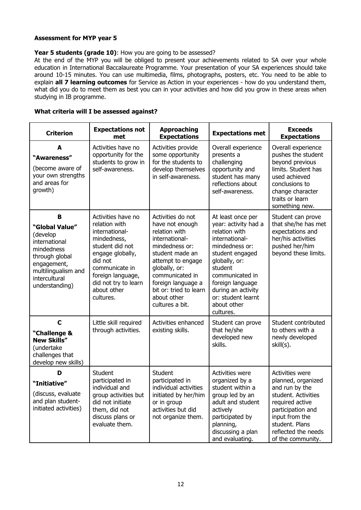#### **Assessment for MYP year 5**

#### Year 5 students (grade 10): How you are going to be assessed?

At the end of the MYP you will be obliged to present your achievements related to SA over your whole education in International Baccalaureate Programme. Your presentation of your SA experiences should take around 10-15 minutes. You can use multimedia, films, photographs, posters, etc. You need to be able to explain **all 7 learning outcomes** for Service as Action in your experiences - how do you understand them, what did you do to meet them as best you can in your activities and how did you grow in these areas when studying in IB programme.

#### **What criteria will I be assessed against?**

| <b>Criterion</b>                                                                                                                                          | <b>Expectations not</b><br>met                                                                                                                                                                                    | <b>Approaching</b><br><b>Expectations</b>                                                                                                                                                                                                               | <b>Expectations met</b>                                                                                                                                                                                                                                      | <b>Exceeds</b><br><b>Expectations</b>                                                                                                                                                                  |
|-----------------------------------------------------------------------------------------------------------------------------------------------------------|-------------------------------------------------------------------------------------------------------------------------------------------------------------------------------------------------------------------|---------------------------------------------------------------------------------------------------------------------------------------------------------------------------------------------------------------------------------------------------------|--------------------------------------------------------------------------------------------------------------------------------------------------------------------------------------------------------------------------------------------------------------|--------------------------------------------------------------------------------------------------------------------------------------------------------------------------------------------------------|
| A<br>"Awareness"<br>(become aware of<br>your own strengths<br>and areas for<br>growth)                                                                    | Activities have no<br>opportunity for the<br>students to grow in<br>self-awareness.                                                                                                                               | Activities provide<br>some opportunity<br>for the students to<br>develop themselves<br>in self-awareness.                                                                                                                                               | Overall experience<br>presents a<br>challenging<br>opportunity and<br>student has many<br>reflections about<br>self-awareness.                                                                                                                               | Overall experience<br>pushes the student<br>beyond previous<br>limits. Student has<br>used achieved<br>conclusions to<br>change character<br>traits or learn<br>something new.                         |
| B<br>"Global Value"<br>(develop<br>international<br>mindedness<br>through global<br>engagement,<br>multilingualism and<br>intercultural<br>understanding) | Activities have no<br>relation with<br>international-<br>mindedness,<br>student did not<br>engage globally,<br>did not<br>communicate in<br>foreign language,<br>did not try to learn<br>about other<br>cultures. | Activities do not<br>have not enough<br>relation with<br>international-<br>mindedness or:<br>student made an<br>attempt to engage<br>globally, or:<br>communicated in<br>foreign language a<br>bit or: tried to learn<br>about other<br>cultures a bit. | At least once per<br>year: activity had a<br>relation with<br>international-<br>mindedness or:<br>student engaged<br>globally, or:<br>student<br>communicated in<br>foreign language<br>during an activity<br>or: student learnt<br>about other<br>cultures. | Student can prove<br>that she/he has met<br>expectations and<br>her/his activities<br>pushed her/him<br>beyond these limits.                                                                           |
| $\mathbf C$<br>"Challenge &<br><b>New Skills"</b><br>(undertake<br>challenges that<br>develop new skills)                                                 | Little skill required<br>through activities.                                                                                                                                                                      | Activities enhanced<br>existing skills.                                                                                                                                                                                                                 | Student can prove<br>that he/she<br>developed new<br>skills.                                                                                                                                                                                                 | Student contributed<br>to others with a<br>newly developed<br>skill(s).                                                                                                                                |
| D<br>"Initiative"<br>(discuss, evaluate<br>and plan student-<br>initiated activities)                                                                     | Student<br>participated in<br>individual and<br>group activities but<br>did not initiate<br>them, did not<br>discuss plans or<br>evaluate them.                                                                   | Student<br>participated in<br>individual activities<br>initiated by her/him<br>or in group<br>activities but did<br>not organize them.                                                                                                                  | Activities were<br>organized by a<br>student within a<br>group led by an<br>adult and student<br>actively<br>participated by<br>planning,<br>discussing a plan<br>and evaluating.                                                                            | Activities were<br>planned, organized<br>and run by the<br>student. Activities<br>required active<br>participation and<br>input from the<br>student. Plans<br>reflected the needs<br>of the community. |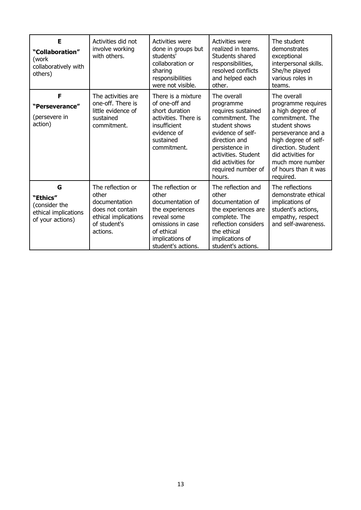| Е<br>"Collaboration"<br>(work<br>collaboratively with<br>others)           | Activities did not<br>involve working<br>with others.                                                               | Activities were<br>done in groups but<br>students'<br>collaboration or<br>sharing<br>responsibilities<br>were not visible.                                   | Activities were<br>realized in teams.<br>Students shared<br>responsibilities,<br>resolved conflicts<br>and helped each<br>other.                                                                                        | The student<br>demonstrates<br>exceptional<br>interpersonal skills.<br>She/he played<br>various roles in<br>teams.                                                                                                                           |
|----------------------------------------------------------------------------|---------------------------------------------------------------------------------------------------------------------|--------------------------------------------------------------------------------------------------------------------------------------------------------------|-------------------------------------------------------------------------------------------------------------------------------------------------------------------------------------------------------------------------|----------------------------------------------------------------------------------------------------------------------------------------------------------------------------------------------------------------------------------------------|
| F<br>"Perseverance"<br>(persevere in<br>action)                            | The activities are<br>one-off. There is<br>little evidence of<br>sustained<br>commitment.                           | There is a mixture<br>of one-off and<br>short duration<br>activities. There is<br>insufficient<br>evidence of<br>sustained<br>commitment.                    | The overall<br>programme<br>requires sustained<br>commitment. The<br>student shows<br>evidence of self-<br>direction and<br>persistence in<br>activities. Student<br>did activities for<br>required number of<br>hours. | The overall<br>programme requires<br>a high degree of<br>commitment. The<br>student shows<br>perseverance and a<br>high degree of self-<br>direction. Student<br>did activities for<br>much more number<br>of hours than it was<br>required. |
| G<br>"Ethics"<br>(consider the<br>ethical implications<br>of your actions) | The reflection or<br>other<br>documentation<br>does not contain<br>ethical implications<br>of student's<br>actions. | The reflection or<br>other<br>documentation of<br>the experiences<br>reveal some<br>omissions in case<br>of ethical<br>implications of<br>student's actions. | The reflection and<br>other<br>documentation of<br>the experiences are<br>complete. The<br>reflection considers<br>the ethical<br>implications of<br>student's actions.                                                 | The reflections<br>demonstrate ethical<br>implications of<br>student's actions,<br>empathy, respect<br>and self-awareness.                                                                                                                   |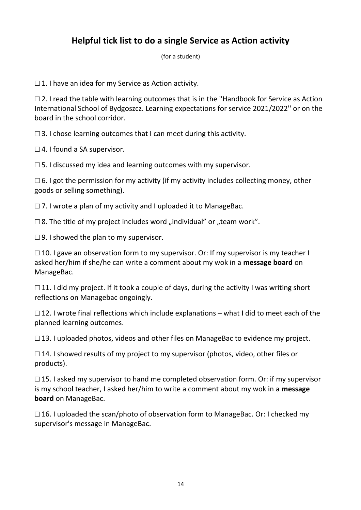## **Helpful tick list to do a single Service as Action activity**

(for a student)

□ 1. I have an idea for my Service as Action activity.

□ 2. I read the table with learning outcomes that is in the "Handbook for Service as Action International School of Bydgoszcz. Learning expectations for service 2021/2022'' or on the board in the school corridor.

 $\Box$  3. I chose learning outcomes that I can meet during this activity.

□ 4. I found a SA supervisor.

 $\square$  5. I discussed my idea and learning outcomes with my supervisor.

 $\Box$  6. I got the permission for my activity (if my activity includes collecting money, other goods or selling something).

 $\Box$  7. I wrote a plan of my activity and I uploaded it to ManageBac.

 $\Box$  8. The title of my project includes word "individual" or "team work".

 $\Box$  9. I showed the plan to my supervisor.

 $\Box$  10. I gave an observation form to my supervisor. Or: If my supervisor is my teacher I asked her/him if she/he can write a comment about my wok in a **message board** on ManageBac.

 $\Box$  11. I did my project. If it took a couple of days, during the activity I was writing short reflections on Managebac ongoingly.

 $\Box$  12. I wrote final reflections which include explanations – what I did to meet each of the planned learning outcomes.

 $\Box$  13. I uploaded photos, videos and other files on ManageBac to evidence my project.

 $\Box$  14. I showed results of my project to my supervisor (photos, video, other files or products).

 $\Box$  15. I asked my supervisor to hand me completed observation form. Or: if my supervisor is my school teacher, I asked her/him to write a comment about my wok in a **message board** on ManageBac.

 $\Box$  16. I uploaded the scan/photo of observation form to ManageBac. Or: I checked my supervisor's message in ManageBac.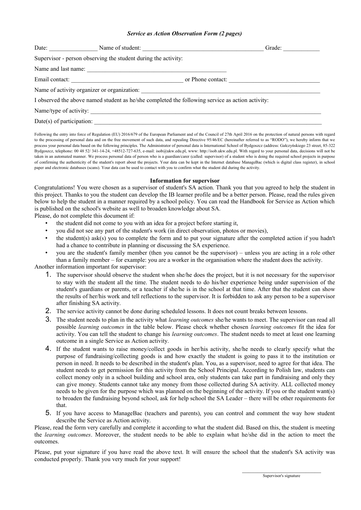#### *Service as Action Observation Form (2 pages)*

|                                     | Date: Name of student:                                         |                                                                                                  | Grade: |
|-------------------------------------|----------------------------------------------------------------|--------------------------------------------------------------------------------------------------|--------|
|                                     | Supervisor - person observing the student during the activity: |                                                                                                  |        |
| Name and last name:                 |                                                                |                                                                                                  |        |
| Email contact:<br>or Phone contact: |                                                                |                                                                                                  |        |
|                                     | Name of activity organizer or organization:                    |                                                                                                  |        |
|                                     |                                                                | I observed the above named student as he/she completed the following service as action activity: |        |
|                                     | Name/type of activity:                                         |                                                                                                  |        |
| $Date(s)$ of participation:         |                                                                |                                                                                                  |        |

Following the entry into force of Regulation (EU) 2016/679 of the European Parliament and of the Council of 27th April 2016 on the protection of natural persons with regard to the processing of personal data and on the free movement of such data, and repealing Directive 95/46/EC (hereinafter referred to as "RODO"), we hereby inform that we process your personal data based on the following principles. The Administrator of personal data is International School of Bydgoszcz (address: Gałczyńskiego 23 street, 85-322 Bydgoszcz, telephone: 00 48 52/ 341-14-24, +48512-727-635, e-mail: isob@ukw.edu.pl, www: http://isob.ukw.edu.pl. With regard to your personal data, decisions will not be taken in an automated manner. We process personal data of person who is a guardian/carer (called: supervisor) of a student who is doing the required school projects in purpose of confirming the authenticity of the student's report about the projects. Your data can be kept in the Internet database ManageBac (which is digital class register), in school paper and electronic databases (scans). Your data can be used to contact with you to confirm what the student did during the activity.

#### **Information for supervisor**

Congratulations! You were chosen as a supervisor of student's SA action. Thank you that you agreed to help the student in this project. Thanks to you the student can develop the IB learner profile and be a better person. Please, read the rules given below to help the student in a manner required by a school policy. You can read the Handbook for Service as Action which is published on the school's website as well to broaden knowledge about SA.

Please, do not complete this document if:

- the student did not come to you with an idea for a project before starting it,
- you did not see any part of the student's work (in direct observation, photos or movies),
- the student(s) ask(s) you to complete the form and to put your signature after the completed action if you hadn't had a chance to contribute in planning or discussing the SA experience.
- you are the student's family member (then you cannot be the supervisor) unless you are acting in a role other than a family member – for example: you are a worker in the organisation where the student does the activity.

Another information important for supervisor:

- 1. The supervisor should observe the student when she/he does the project, but it is not necessary for the supervisor to stay with the student all the time. The student needs to do his/her experience being under supervision of the student's guardians or parents, or a teacher if she/he is in the school at that time. After that the student can show the results of her/his work and tell reflections to the supervisor. It is forbidden to ask any person to be a supervisor after finishing SA activity.
- 2. The service activity cannot be done during scheduled lessons. It does not count breaks between lessons.
- 3. The student needs to plan in the activity what *learning outcomes* she/he wants to meet. The supervisor can read all possible *learning outcomes* in the table below. Please check whether chosen *learning outcomes* fit the idea for activity. You can tell the student to change his *learning outcomes*. The student needs to meet at least one learning outcome in a single Service as Action activity.
- 4. If the student wants to raise money/collect goods in her/his activity, she/he needs to clearly specify what the purpose of fundraising/collecting goods is and how exactly the student is going to pass it to the institution or person in need. It needs to be described in the student's plan. You, as a supervisor, need to agree for that idea. The student needs to get permission for this activity from the School Principal. According to Polish law, students can collect money only in a school building and school area, only students can take part in fundraising and only they can give money. Students cannot take any money from those collected during SA activity. ALL collected money needs to be given for the purpose which was planned on the beginning of the activity. If you or the student want(s) to broaden the fundraising beyond school, ask for help school the SA Leader – there will be other requirements for that.
- 5. If you have access to ManageBac (teachers and parents), you can control and comment the way how student describe the Service as Action activity.

Please, read the form very carefully and complete it according to what the student did. Based on this, the student is meeting the *learning outcomes*. Moreover, the student needs to be able to explain what he/she did in the action to meet the outcomes.

Please, put your signature if you have read the above text. It will ensure the school that the student's SA activity was conducted properly. Thank you very much for your support!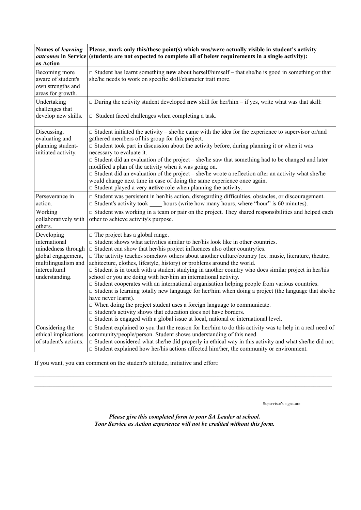| Names of learning<br><i>outcomes</i> in Service<br>as Action                                                                      | Please, mark only this/these point(s) which was/were actually visible in student's activity<br>(students are not expected to complete all of below requirements in a single activity):                                                                                                                                                                                                                                                                                                                                                                                                                                                                                                                                                                                                                                                                                                                                                                                                                                                                                                             |
|-----------------------------------------------------------------------------------------------------------------------------------|----------------------------------------------------------------------------------------------------------------------------------------------------------------------------------------------------------------------------------------------------------------------------------------------------------------------------------------------------------------------------------------------------------------------------------------------------------------------------------------------------------------------------------------------------------------------------------------------------------------------------------------------------------------------------------------------------------------------------------------------------------------------------------------------------------------------------------------------------------------------------------------------------------------------------------------------------------------------------------------------------------------------------------------------------------------------------------------------------|
| Becoming more<br>aware of student's<br>own strengths and<br>areas for growth.                                                     | $\Box$ Student has learnt something <b>new</b> about herself/himself – that she/he is good in something or that<br>she/he needs to work on specific skill/character trait more.                                                                                                                                                                                                                                                                                                                                                                                                                                                                                                                                                                                                                                                                                                                                                                                                                                                                                                                    |
| Undertaking<br>challenges that                                                                                                    | $\Box$ During the activity student developed <b>new</b> skill for her/him – if yes, write what was that skill:                                                                                                                                                                                                                                                                                                                                                                                                                                                                                                                                                                                                                                                                                                                                                                                                                                                                                                                                                                                     |
| develop new skills.                                                                                                               | $\Box$ Student faced challenges when completing a task.                                                                                                                                                                                                                                                                                                                                                                                                                                                                                                                                                                                                                                                                                                                                                                                                                                                                                                                                                                                                                                            |
| Discussing,<br>evaluating and<br>planning student-<br>initiated activity.                                                         | $\Box$ Student initiated the activity – she/he came with the idea for the experience to supervisor or/and<br>gathered members of his group for this project.<br>$\Box$ Student took part in discussion about the activity before, during planning it or when it was<br>necessary to evaluate it.<br>$\Box$ Student did an evaluation of the project – she/he saw that something had to be changed and later<br>modified a plan of the activity when it was going on.<br>$\Box$ Student did an evaluation of the project – she/he wrote a reflection after an activity what she/he<br>would change next time in case of doing the same experience once again.<br>$\Box$ Student played a very <b>active</b> role when planning the activity.                                                                                                                                                                                                                                                                                                                                                        |
| Perseverance in<br>action.                                                                                                        | $\Box$ Student was persistent in her/his action, disregarding difficulties, obstacles, or discouragement.<br>hours (write how many hours, where "hour" is 60 minutes).<br>$\Box$ Student's activity took                                                                                                                                                                                                                                                                                                                                                                                                                                                                                                                                                                                                                                                                                                                                                                                                                                                                                           |
| Working<br>collaboratively with<br>others.                                                                                        | □ Student was working in a team or pair on the project. They shared responsibilities and helped each<br>other to achieve activity's purpose.                                                                                                                                                                                                                                                                                                                                                                                                                                                                                                                                                                                                                                                                                                                                                                                                                                                                                                                                                       |
| Developing<br>international<br>mindedness through<br>global engagement,<br>multilingualism and<br>intercultural<br>understanding. | $\Box$ The project has a global range.<br>$\square$ Student shows what activities similar to her/his look like in other countries.<br>$\square$ Student can show that her/his project influences also other country/ies.<br>$\Box$ The activity teaches somehow others about another culture/country (ex. music, literature, theatre,<br>achitecture, clothes, lifestyle, history) or problems around the world.<br>$\Box$ Student is in touch with a student studying in another country who does similar project in her/his<br>school or you are doing with her/him an international activity.<br>$\Box$ Student cooperates with an international organisation helping people from various countries.<br>$\Box$ Student is learning totally new language for her/him when doing a project (the language that she/he<br>have never learnt).<br>$\Box$ When doing the project student uses a foreign language to communicate.<br>$\Box$ Student's activity shows that education does not have borders.<br>$\Box$ Student is engaged with a global issue at local, national or international level. |
| Considering the<br>ethical implications<br>of student's actions.                                                                  | $\Box$ Student explained to you that the reason for her/him to do this activity was to help in a real need of<br>community/people/person. Student shows understanding of this need.<br>$\Box$ Student considered what she/he did properly in ethical way in this activity and what she/he did not.<br>$\Box$ Student explained how her/his actions affected him/her, the community or environment.                                                                                                                                                                                                                                                                                                                                                                                                                                                                                                                                                                                                                                                                                                 |

If you want, you can comment on the student's attitude, initiative and effort:

Supervisor's signature

*Please give this completed form to your SA Leader at school. Your Service as Action experience will not be credited without this form.*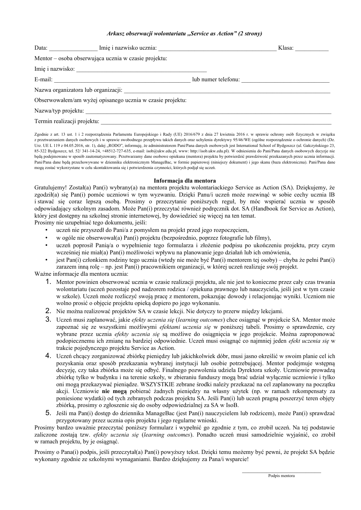|  | Arkusz obserwacji wolontariatu "Service as Action" (2 strony) |  |  |
|--|---------------------------------------------------------------|--|--|
|  |                                                               |  |  |

| Data: Imię i nazwisko ucznia:                             |                     | Klasa: |  |
|-----------------------------------------------------------|---------------------|--------|--|
| Mentor – osoba obserwująca ucznia w czasie projektu:      |                     |        |  |
| Imię i nazwisko:                                          |                     |        |  |
| E-mail: $\qquad \qquad$                                   | lub numer telefonu: |        |  |
| Nazwa organizatora lub organizacji:                       |                     |        |  |
| Obserwowałem/am wyżej opisanego ucznia w czasie projektu: |                     |        |  |
|                                                           |                     |        |  |
| Termin realizacji projektu:                               |                     |        |  |

Zgodnie z art. 13 ust. 1 i 2 rozporządzenia Parlamentu Europejskiego i Rady (UE) 2016/679 z dnia 27 kwietnia 2016 r. w sprawie ochrony osób fizycznych w związku z przetwarzaniem danych osobowych i w sprawie swobodnego przepływu takich danych oraz uchylenia dyrektywy 95/46/WE (ogólne rozporządzenie o ochronie danych) (Dz. Urz. UE L 119 z 04.05.2016, str. 1), dalej "RODO", informuje, że administratorem Pani/Pana danych osobowych jest International School of Bydgoszcz (ul. Gałczyńskiego 23, 85-322 Bydgoszcz, tel. 52/ 341-14-24, +48512-727-635, e-mail: isob@ukw.edu.pl, www: http://isob.ukw.edu.pl). W odniesieniu do Pani/Pana danych osobowych decyzje nie będą podejmowane w sposób zautomatyzowany. Przetwarzamy dane osobowe opiekuna (mentora) projektu by potwierdzić prawdziwość przekazanych przez ucznia informacji. Pani/Pana dane będą przechowywane w dzienniku elektronicznym ManageBac, w formie papierowej (niniejszy dokument) i jego skanu (baza elektroniczna). Pani/Pana dane mogą zostać wykorzystane w celu skontaktowania się i potwierdzenia czynności, których podjął się uczeń.

#### **Informacja dla mentora**

Gratulujemy! Został(a) Pan(i) wybrany(a) na mentora projektu wolontariackiego Service as Action (SA). Dziękujemy, że zgodził(a) się Pan(i) pomóc uczniowi w tym wyzwaniu. Dzięki Panu/i uczeń może rozwinąć w sobie cechy ucznia IB i stawać się coraz lepszą osobą. Prosimy o przeczytanie poniższych reguł, by móc wspierać ucznia w sposób odpowiadający szkolnym zasadom. Może Pan(i) przeczytać również podręcznik dot. SA (Handbook for Service as Action), który jest dostępny na szkolnej stronie internetowej, by dowiedzieć się więcej na ten temat.

Prosimy nie uzupełniać tego dokumentu, jeśli:

- uczeń nie przyszedł do Pani/a z pomysłem na projekt przed jego rozpoczęciem,
- w ogóle nie obserwował(a) Pan(i) projektu (bezpośrednio, poprzez fotografie lub filmy),
- uczeń poprosił Panią/a o wypełnienie tego formularza i złożenie podpisu po ukończeniu projektu, przy czym wcześniej nie miał(a) Pan(i) możliwości wpływu na planowanie jego działań lub ich omówienia,
- jest Pan(i) członkiem rodziny tego ucznia (wtedy nie może być Pan(i) mentorem tej osoby) chyba że pełni Pan(i) zarazem inną rolę – np. jest Pan(i) pracownikiem organizacji, w której uczeń realizuje swój projekt.

Ważne informacje dla mentora ucznia:

- 1. Mentor powinien obserwować ucznia w czasie realizacji projektu, ale nie jest to konieczne przez cały czas trwania wolontariatu (uczeń pozostaje pod nadzorem rodzica / opiekuna prawnego lub nauczyciela, jeśli jest w tym czasie w szkole). Uczeń może rozliczyć swoją pracę z mentorem, pokazując dowody i relacjonując wyniki. Uczniom nie wolno prosić o objęcie projektu opieką dopiero po jego wykonaniu.
- 2. Nie można realizować projektów SA w czasie lekcji. Nie dotyczy to przerw między lekcjami.
- 3. Uczeń musi zaplanować, jakie *efekty uczenia się* (*learning outcomes*) chce osiągnąć w projekcie SA. Mentor może zapoznać się ze wszystkimi możliwymi *efektami uczenia się* w poniższej tabeli. Prosimy o sprawdzenie, czy wybrane przez ucznia *efekty uczenia się* są możliwe do osiągnięcia w jego projekcie. Można zaproponować podopiecznemu ich zmianę na bardziej odpowiednie. Uczeń musi osiągnąć co najmniej jeden *efekt uczenia się* w trakcie pojedynczego projektu Service as Action.
- 4. Uczeń chcący zorganizować zbiórkę pieniędzy lub jakichkolwiek dóbr, musi jasno określić w swoim planie cel ich pozyskania oraz sposób przekazania wybranej instytucji lub osobie potrzebującej. Mentor podejmuje wstępną decyzję, czy taka zbiórka może się odbyć. Finalnego pozwolenia udziela Dyrektora szkoły. Uczniowie prowadzą zbiórkę tylko w budynku i na terenie szkoły, w zbieraniu funduszy mogą brać udział wyłącznie uczniowie i tylko oni mogą przekazywać pieniądze. WSZYSTKIE zebrane środki należy przekazać na cel zaplanowany na początku akcji. Uczniowie **nie mogą** pobierać żadnych pieniędzy na własny użytek (np. w ramach rekompensaty za poniesione wydatki) od tych zebranych podczas projektu SA. Jeśli Pan(i) lub uczeń pragną poszerzyć teren objęty zbiórką, prosimy o zgłoszenie się do osoby odpowiedzialnej za SA w IsoB.
- 5. Jeśli ma Pan(i) dostęp do dziennika ManageBac (jest Pan(i) nauczycielem lub rodzicem), może Pan(i) sprawdzać przygotowany przez ucznia opis projektu i jego regularne wnioski.

Prosimy bardzo uważnie przeczytać poniższy formularz i wypełnić go zgodnie z tym, co zrobił uczeń. Na tej podstawie zaliczone zostają tzw. *efekty uczenia się* (*learning outcomes*). Ponadto uczeń musi samodzielnie wyjaśnić, co zrobił w ramach projektu, by je osiągnąć.

Prosimy o Pana(i) podpis, jeśli przeczytał(a) Pan(i) powyższy tekst. Dzięki temu możemy być pewni, że projekt SA będzie wykonany zgodnie ze szkolnymi wymaganiami. Bardzo dziękujemy za Pana/i wsparcie!